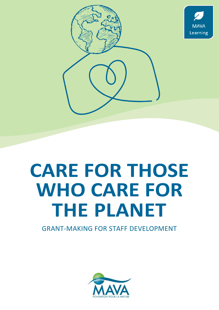

**MAVA** Learning



GRANT-MAKING FOR STAFF DEVELOPMENT

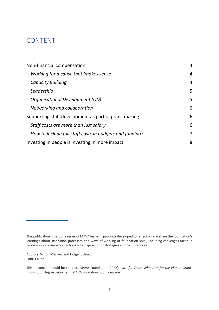## CONTENT

| Non-financial compensation                              | $\overline{4}$ |
|---------------------------------------------------------|----------------|
| Working for a cause that 'makes sense'                  | $\overline{4}$ |
| <b>Capacity Building</b>                                | $\overline{4}$ |
| Leadership                                              | 5              |
| Organisational Development (OD)                         | 5              |
| Networking and collaboration                            | 6              |
| Supporting staff development as part of grant-making    | 6              |
| Staff costs are more than just salary                   | 6              |
| How to include full staff costs in budgets and funding? | 7              |
| Investing in people is investing in more impact         | 8              |

Authors: Simon Mériaux and Holger Schmid Font: Calibri

This publication is part of a series of MAVA learning products developed to reflect on and share the foundation's learnings about institution processes and ways of working at foundation level, including challenges faced in carrying our conservation actions – to inspire donor strategies and best practices.

This document should be cited as: MAVA Foundation (2022). *Care for Those Who Care for the Planet: Grantmaking for staff development*. MAVA Fondation pour la nature.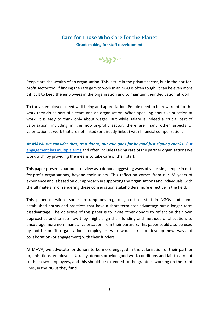### **Care for Those Who Care for the Planet**

**Grant-making for staff development**



People are the wealth of an organisation. This is true in the private sector, but in the not-forprofit sector too. If finding the rare gem to work in an NGO is often tough, it can be even more difficult to keep the employees in the organisation and to maintain their dedication at work.

To thrive, employees need well-being and appreciation. People need to be rewarded for the work they do as part of a team and an organisation. When speaking about valorisation at work, it is easy to think only about wages. But while salary is indeed a crucial part of valorisation, including in the not-for-profit sector, there are many other aspects of valorisation at work that are not linked (or directly linked) with financial compensation.

*At MAVA, we consider that, as a donor, our role goes far beyond just signing checks.* [Our](https://mava-foundation.org/wp-content/uploads/2021/11/MAVA-be-an-octopus-final-2.pdf)  [engagement has multiple arms](https://mava-foundation.org/wp-content/uploads/2021/11/MAVA-be-an-octopus-final-2.pdf) and often includes taking care of the partner organisations we work with, by providing the means to take care of their staff.

This paper presents our point of view as a donor, suggesting ways of valorising people in notfor-profit organisations, beyond their salary. This reflection comes from our 28 years of experience and is based on our approach in supporting the organisations and individuals, with the ultimate aim of rendering these conservation stakeholders more effective in the field.

This paper questions some presumptions regarding cost of staff in NGOs and some established norms and practices that have a short-term cost advantage but a longer term disadvantage. The objective of this paper is to invite other donors to reflect on their own approaches and to see how they might align their funding and methods of allocation, to encourage more non-financial valorisation from their partners. This paper could also be used by not-for-profit organisations' employees who would like to develop new ways of collaboration (or engagement) with their funders.

At MAVA, we advocate for donors to be more engaged in the valorisation of their partner organisations' employees. Usually, donors provide good work conditions and fair treatment to their own employees, and this should be extended to the grantees working on the front lines, in the NGOs they fund.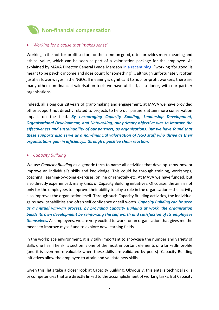<span id="page-3-0"></span>

#### <span id="page-3-1"></span>• *Working for a cause that 'makes sense'*

Working in the not-for-profit sector, for the common good, often provides more meaning and ethical value, which can be seen as part of a valorisation package for the employee. As explained by MAVA Director General Lynda Mansson [in a recent blog](https://mava-foundation.org/blog-meaning-or-money-what-do-we-value/), "working 'for good' is meant to be psychic income and does count for something"... although unfortunately it often justifies lower wages in the NGOs. If meaning is significant to not-for-profit workers, there are many other non-financial valorisation tools we have utilised, as a donor, with our partner organisations.

Indeed, all along our 28 years of grant-making and engagement, at MAVA we have provided other support not directly related to projects to help our partners attain more conservation impact on the field. *By encouraging Capacity Building, Leadership Development, Organisational Development, and Networking, our primary objective was to improve the effectiveness and sustainability of our partners, as organisations. But we have found that these supports also serve as a non-financial valorisation of NGO staff who thrive as their organisations gain in efficiency… through a positive chain reaction.*

#### <span id="page-3-2"></span>• *Capacity Building*

We use *Capacity Building* as a generic term to name all activities that develop know-how or improve an individual's skills and knowledge. This could be through training, workshops, coaching, learning-by-doing exercises, online or remotely etc. At MAVA we have funded, but also directly experienced, many kinds of Capacity Building initiatives. Of course, the aim is not only for the employees to improve their ability to play a role in the organisation – the activity also improves the organisation itself. Through such Capacity Building activities, the individual gains new capabilities and often self confidence or self worth. *Capacity Building can be seen as a mutual win-win process: by providing Capacity Building at work, the organisation builds its own development by reinforcing the self worth and satisfaction of its employees themselves.* As employees, we are very excited to work for an organisation that gives me the means to improve myself and to explore new learning fields.

In the workplace environment, it is vitally important to showcase the number and variety of skills one has. The skills section is one of the most important elements of a LinkedIn profile (and it is even more valuable when these skills are validated by peers)! Capacity Building initiatives allow the employee to attain and validate new skills.

Given this, let's take a closer look at Capacity Building. Obviously, this entails technical skills or competencies that are directly linked to the accomplishment of working tasks. But Capacity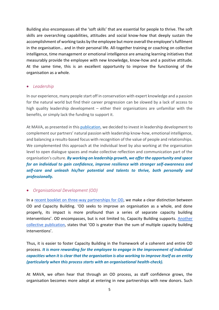Building also encompasses all the 'soft skills' that are essential for people to thrive. The soft skills are overarching capabilities, attitudes and social know-how that deeply sustain the accomplishment of working tasks by the employee but more overall the employee's fulfilment in the organisation… and in their personal life. All-together training or coaching on collective intelligence, time management or emotional intelligence are amazing learning initiatives that measurably provide the employee with new knowledge, know-how and a positive attitude. At the same time, this is an excellent opportunity to improve the functioning of the organisation as a whole.

#### <span id="page-4-0"></span>• *Leadership*

In our experience, many people start off in conservation with expert knowledge and a passion for the natural world but find their career progression can be slowed by a lack of access to high quality leadership development – either their organisations are unfamiliar with the benefits, or simply lack the funding to support it.

At MAVA, as presented in this [publication,](https://mava-foundation.org/wp-content/uploads/2022/04/MAVA-Impact-Report-final-1.pdf) we decided to invest in leadership development to complement our partners' natural passion with leadership know-how, emotional intelligence, and balancing a results-based focus with recognition of the value of people and relationships. We complemented this approach at the individual level by also working at the organisation level to open dialogue spaces and make collective reflection and communication part of the organisation's culture. *By working on leadership growth, we offer the opportunity and space for an individual to gain confidence, improve resilience with stronger self-awareness and self-care and unleash his/her potential and talents to thrive, both personally and professionally.*

#### <span id="page-4-1"></span>• *Organisational Development (OD)*

In a [recent booklet on three-way partnerships for OD,](https://mava-foundation.org/wp-content/uploads/2022/03/22_MAVA_LEARNING_TIPS_TRIANGLE_VF.pdf) we make a clear distinction between OD and Capacity Building. 'OD seeks to improve an organisation as a whole, and done properly, its impact is more profound than a series of separate capacity building interventions'. OD encompasses, but is not limited to, Capacity Building supports. [Another](https://mava-foundation.org/wp-content/uploads/2020/10/Funding-Organisational-Development-final.pdf)  [collective publication,](https://mava-foundation.org/wp-content/uploads/2020/10/Funding-Organisational-Development-final.pdf) states that 'OD is greater than the sum of multiple capacity building interventions'.

Thus, it is easier to foster Capacity Building in the framework of a coherent and entire OD process. *It is more rewarding for the employee to engage in the improvement of individual capacities when it is clear that the organisation is also working to improve itself as an entity (particularly when this process starts with an organisational health-check).*

At MAVA, we often hear that through an OD process, as staff confidence grows, the organisation becomes more adept at entering in new partnerships with new donors. Such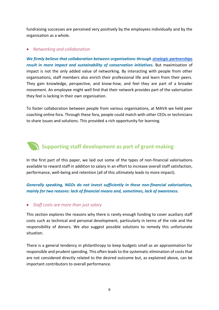fundraising successes are perceived very positively by the employees individually and by the organisation as a whole.

#### <span id="page-5-0"></span>• *Networking and collaboration*

*We firmly believe that collaboration between organisations through [strategic partnerships](https://mava-foundation.org/wp-content/uploads/2022/02/Strategic-Partnerships-Summary_FINAL_design_v4-1.pdf) result in more impact and sustainability of conservation initiatives.* But maximisation of impact is not the only added value of networking. By interacting with people from other organisations, staff members also enrich their professional life and learn from their peers. They gain knowledge, perspective, and know-how, and feel they are part of a broader movement. An employee might well find that their network provides part of the valorisation they feel is lacking in their own organisation.

To foster collaboration between people from various organisations, at MAVA we held peer coaching online fora. Through these fora, people could match with other CEOs or technicians to share issues and solutions. This provided a rich opportunity for learning.

# <span id="page-5-1"></span>**Supporting staff development as part of grant-making**

In the first part of this paper, we laid out some of the types of non-financial valorisations available to reward staff in addition to salary in an effort to increase overall staff satisfaction, performance, well-being and retention (all of this ultimately leads to more impact).

*Generally speaking, NGOs do not invest sufficiently in these non-financial valorisations, mainly for two reasons: lack of financial means and, sometimes, lack of awareness.* 

#### <span id="page-5-2"></span>• *Staff costs are more than just salary*

This section explores the reasons why there is rarely enough funding to cover auxiliary staff costs such as technical and personal development, particularly in terms of the role and the responsibility of donors. We also suggest possible solutions to remedy this unfortunate situation.

There is a general tendency in philanthropy to keep budgets small as an approximation for responsible and prudent spending. This often leads to the systematic elimination of costs that are not considered directly related to the desired outcome but, as explained above, can be important contributors to overall performance.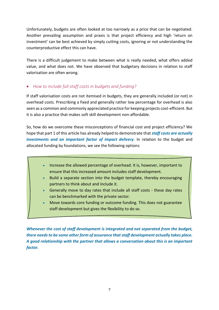Unfortunately, budgets are often looked at too narrowly as a price that can be negotiated. Another prevailing assumption and praxis is that project efficiency and high 'return on investment' can be best achieved by simply cutting costs, ignoring or not understanding the counterproductive effect this can have.

There is a difficult judgement to make between what is really needed, what offers added value, and what does not. We have observed that budgetary decisions in relation to staff valorisation are often wrong.

#### <span id="page-6-0"></span>• *How to include full staff costs in budgets and funding?*

If staff valorisation costs are not itemised in budgets, they are generally included (or not) in overhead costs. Prescribing a fixed and generally rather low percentage for overhead is also seen as a common and commonly appreciated practice for keeping projects cost-efficient. But it is also a practice that makes soft skill development non-affordable.

So, how do we overcome these misconceptions of financial cost and project efficiency? We hope that part 1 of this article has already helped to demonstrate that *staff costs are actually investments and an important factor of impact delivery.* In relation to the budget and allocated funding by foundations, we see the following options:

- Increase the allowed percentage of overhead. It is, however, important to ensure that this increased amount includes staff development.
- Build a separate section into the budget template, thereby encouraging partners to think about and include it.
- Generally move to day rates that include all staff costs these day rates can be benchmarked with the private sector.
- Move towards core funding or outcome funding. This does not guarantee staff development but gives the flexibility to do so.

*Whenever the cost of staff development is integrated and not separated from the budget, there needs to be some other form of assurance that staff development actually takes place. A good relationship with the partner that allows a conversation about this is an important factor.*